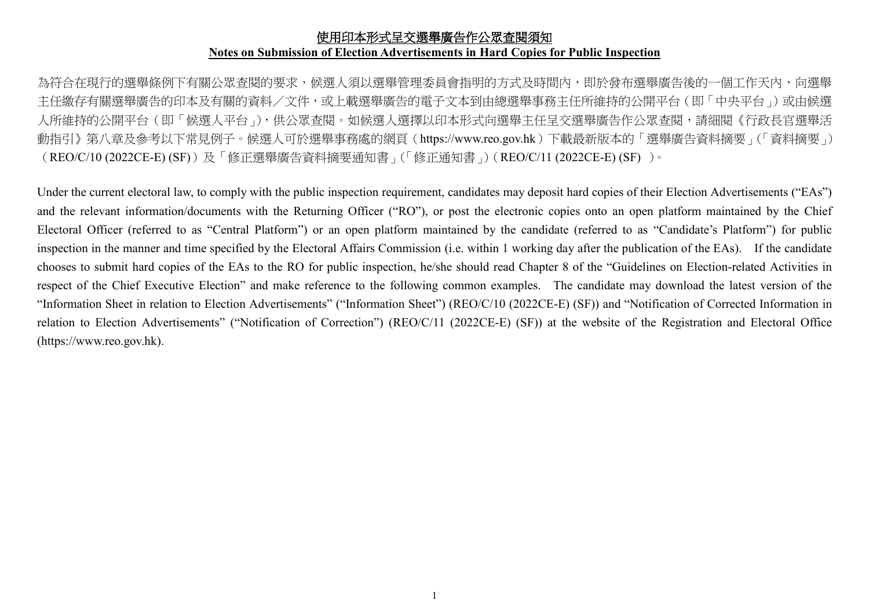#### 使用印本形式呈交選舉廣告作公眾查閱須知 **Notes on Submission of Election Advertisements in Hard Copies for Public Inspection**

為符合在現行的選舉條例下有關公眾查閱的要求,候選人須以選舉管理委員會指明的方式及時間內,即於發布選舉廣告後的一個工作天內,向選舉 主任繳存有關選舉廣告的印本及有關的資料/文件,或上載選舉廣告的電子文本到由總選舉事務主任所維持的公開平台(即「中央平台」)或由候選 人所維持的公開平台(即「候選人平台」),供公眾查閱。如候選人選擇以印本形式向選舉主任呈交選舉廣告作公眾查閱,請細閱《行政長官選舉活 動指引》第八章及參考以下常見例子。候選人可於選舉事務處的網頁(https://www.reo.gov.hk)下載最新版本的「選舉廣告資料摘要」(「資料摘要」) (REO/C/10 (2022CE-E) (SF))及「修正選舉廣告資料摘要通知書」(「修正通知書」)(REO/C/11 (2022CE-E) (SF) )。

Under the current electoral law, to comply with the public inspection requirement, candidates may deposit hard copies of their Election Advertisements ("EAs") and the relevant information/documents with the Returning Officer ("RO"), or post the electronic copies onto an open platform maintained by the Chief Electoral Officer (referred to as "Central Platform") or an open platform maintained by the candidate (referred to as "Candidate's Platform") for public inspection in the manner and time specified by the Electoral Affairs Commission (i.e. within 1 working day after the publication of the EAs). If the candidate chooses to submit hard copies of the EAs to the RO for public inspection, he/she should read Chapter 8 of the "Guidelines on Election-related Activities in respect of the Chief Executive Election" and make reference to the following common examples. The candidate may download the latest version of the "Information Sheet in relation to Election Advertisements" ("Information Sheet") (REO/C/10 (2022CE-E) (SF)) and "Notification of Corrected Information in relation to Election Advertisements" ("Notification of Correction") (REO/C/11 (2022CE-E) (SF)) at the website of the Registration and Electoral Office (https://www.reo.gov.hk).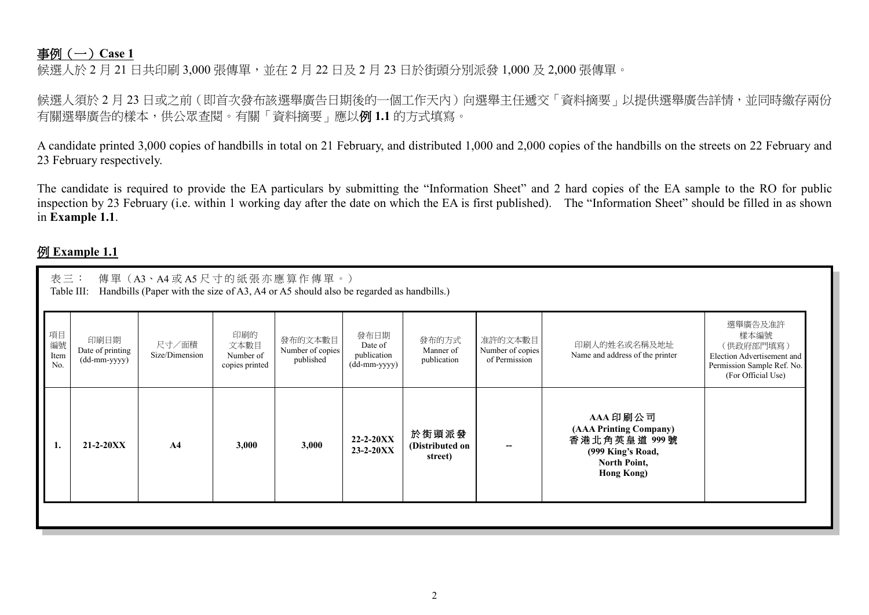## 事例(一)**Case 1**

候選人於 2 月 21 日共印刷 3,000 張傳單,並在 2 月 22 日及 2 月 23 日於街頭分別派發 1,000 及 2,000 張傳單。

候選人須於 2 月 23 日或之前 (即首次發布該選舉廣告日期後的一個工作天內)向選舉主任遞交「資料摘要」以提供選舉廣告詳情,並同時繳存兩份 有關選舉廣告的樣本,供公眾查閱。有關「資料摘要」應以例 **1.1** 的方式填寫。

A candidate printed 3,000 copies of handbills in total on 21 February, and distributed 1,000 and 2,000 copies of the handbills on the streets on 22 February and 23 February respectively.

The candidate is required to provide the EA particulars by submitting the "Information Sheet" and 2 hard copies of the EA sample to the RO for public inspection by 23 February (i.e. within 1 working day after the date on which the EA is first published). The "Information Sheet" should be filled in as shown in **Example 1.1**.

#### 例 **Example 1.1**

| 項目<br>印刷的<br>發布日期<br>印刷日期<br>發布的文本數目<br>發布的方式<br>准許的文本數目<br>編號<br>尺寸/面積<br>印刷人的姓名或名稱及地址<br>文本數目<br>Date of<br>Date of printing<br>Number of copies<br>Manner of<br>Number of copies<br>Size/Dimension<br>publication<br>Name and address of the printer<br>Item<br>Number of<br>published<br>publication<br>of Permission<br>(dd-mm-yyyy)<br>N <sub>0</sub><br>(dd-mm-yyyy)<br>copies printed<br>AAA 印刷公司<br>(AAA Printing Company)<br>於街頭派發<br>香港北角英皇道 999號<br>$22 - 2 - 20XX$<br>3,000<br>$21 - 2 - 20XX$<br>3,000<br>A <sub>4</sub><br>1.<br>(Distributed on<br>$23 - 2 - 20XX$<br>(999 King's Road,<br>street) | 傳單 (A3、A4或A5尺寸的紙張亦應算作傳單。)<br>表三:<br>Handbills (Paper with the size of A3, A4 or A5 should also be regarded as handbills.)<br>Table III: |  |  |  |  |  |  |  |  |  |  |  |  |  |
|--------------------------------------------------------------------------------------------------------------------------------------------------------------------------------------------------------------------------------------------------------------------------------------------------------------------------------------------------------------------------------------------------------------------------------------------------------------------------------------------------------------------------------------------------------------------------------------------------------------------|-----------------------------------------------------------------------------------------------------------------------------------------|--|--|--|--|--|--|--|--|--|--|--|--|--|
|                                                                                                                                                                                                                                                                                                                                                                                                                                                                                                                                                                                                                    | 選舉廣告及准許<br>樣本編號<br>(供政府部門填寫)<br>Election Advertisement and<br>Permission Sample Ref. No.<br>(For Official Use)                          |  |  |  |  |  |  |  |  |  |  |  |  |  |
| <b>Hong Kong)</b>                                                                                                                                                                                                                                                                                                                                                                                                                                                                                                                                                                                                  | North Point,                                                                                                                            |  |  |  |  |  |  |  |  |  |  |  |  |  |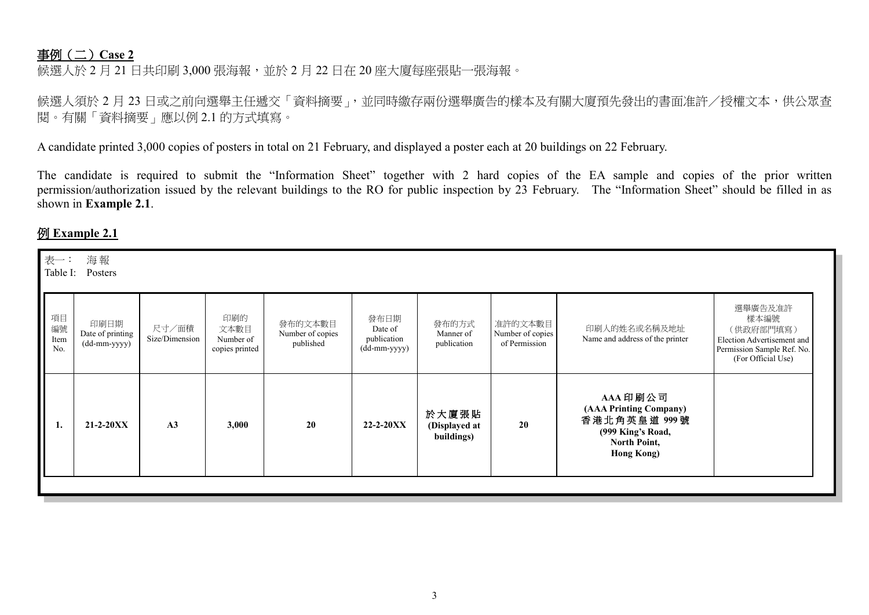## 事例(二)**Case 2**

候選人於 2 月 21 日共印刷 3,000 張海報,並於 2 月 22 日在 20 座大廈每座張貼一張海報。

候選人須於 2 月 23 日或之前向選舉主任遞交「資料摘要」,並同時繳存兩份選舉廣告的樣本及有關大廈預先發出的書面准許/授權文本,供公眾查 閱。有關「資料摘要」應以例 2.1 的方式填寫。

A candidate printed 3,000 copies of posters in total on 21 February, and displayed a poster each at 20 buildings on 22 February.

The candidate is required to submit the "Information Sheet" together with 2 hard copies of the EA sample and copies of the prior written permission/authorization issued by the relevant buildings to the RO for public inspection by 23 February. The "Information Sheet" should be filled in as shown in **Example 2.1**.

## 例 **Example 2.1**

| 選舉廣告及准許<br>項目<br>印刷的<br>樣本編號<br>發布日期<br>印刷日期<br>發布的文本數目<br>發布的方式<br>准許的文本數目<br>編號<br>尺寸/面積<br>印刷人的姓名或名稱及地址<br>文本數目<br>(供政府部門填寫)<br>Date of<br>Date of printing<br>Number of copies<br>Number of copies<br>Manner of<br>Size/Dimension<br>Name and address of the printer<br>publication<br>Item<br>Number of<br>(dd-mm-yyyy)<br>published<br>publication<br>of Permission<br>No.<br>(dd-mm-yyyy)<br>copies printed<br>(For Official Use)<br>AAA 印刷公司<br>(AAA Printing Company)<br>於大廈張貼<br>香港北角英皇道 999號<br>20<br>20<br>A <sub>3</sub><br>$21 - 2 - 20XX$<br>3,000<br>$22 - 2 - 20XX$<br>(Displayed at<br>(999 King's Road,<br>buildings)<br>North Point,<br><b>Hong Kong)</b> | 表一:<br>Table I: | 海報<br>Posters |  |  |  |                                                          |  |
|-------------------------------------------------------------------------------------------------------------------------------------------------------------------------------------------------------------------------------------------------------------------------------------------------------------------------------------------------------------------------------------------------------------------------------------------------------------------------------------------------------------------------------------------------------------------------------------------------------------------------------------------------------------------------------|-----------------|---------------|--|--|--|----------------------------------------------------------|--|
|                                                                                                                                                                                                                                                                                                                                                                                                                                                                                                                                                                                                                                                                               |                 |               |  |  |  | Election Advertisement and<br>Permission Sample Ref. No. |  |
|                                                                                                                                                                                                                                                                                                                                                                                                                                                                                                                                                                                                                                                                               |                 |               |  |  |  |                                                          |  |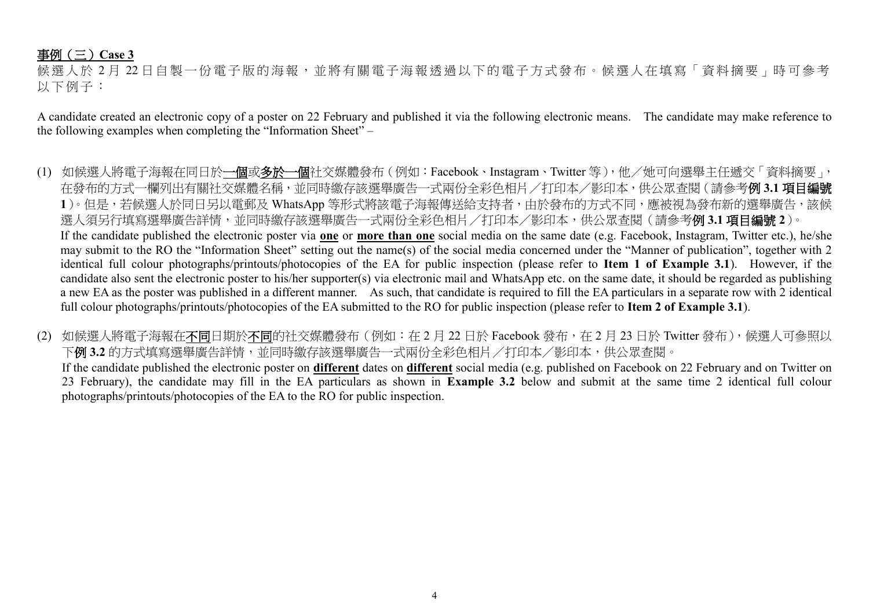## 事例(三)**Case 3**

候選人於 2 月 22 日自製一份電子版的海報,並將有關電子海報透過以下的電子方式發布。候選人在填寫「資料摘要」時可參考 以下例子:

A candidate created an electronic copy of a poster on 22 February and published it via the following electronic means. The candidate may make reference to the following examples when completing the "Information Sheet" –

- (1) 如候選人將電子海報在同日於一個或多於一個社交媒體發布(例如:Facebook、Instagram、Twitter 等), 他/她可向選舉主任遞交「資料摘要」, 在發布的方式一欄列出有關社交媒體名稱,並同時繳存該選舉廣告一式兩份全彩色相片/打印本/影印本,供公眾查閱(請參考例 **3.1** 項目編號 1)。但是,若候選人於同日另以電郵及 WhatsApp 等形式將該電子海報傳送給支持者,由於發布的方式不同,應被視為發布新的選舉廣告,該候 選人須另行填寫選舉廣告詳情,並同時繳存該選舉廣告一式兩份全彩色相片/打印本/影印本,供公眾查閱(請參考例 **3.1** 項目編號 **2**)。 If the candidate published the electronic poster via **one** or **more than one** social media on the same date (e.g. Facebook, Instagram, Twitter etc.), he/she may submit to the RO the "Information Sheet" setting out the name(s) of the social media concerned under the "Manner of publication", together with 2 identical full colour photographs/printouts/photocopies of the EA for public inspection (please refer to **Item 1 of Example 3.1**). However, if the candidate also sent the electronic poster to his/her supporter(s) via electronic mail and WhatsApp etc. on the same date, it should be regarded as publishing a new EA as the poster was published in a different manner. As such, that candidate is required to fill the EA particulars in a separate row with 2 identical full colour photographs/printouts/photocopies of the EA submitted to the RO for public inspection (please refer to **Item 2 of Example 3.1**).
- (2) 如候選人將電子海報在不同日期於不同的社交媒體發布(例如:在2月22日於 Facebook 發布,在2月23日於 Twitter 發布),候選人可參照以 下**例 3.2** 的方式填寫選舉廣告詳情,並同時繳存該選舉廣告一式兩份全彩色相片/打印本/影印本,供公眾查閱。 If the candidate published the electronic poster on **different** dates on **different** social media (e.g. published on Facebook on 22 February and on Twitter on
	- 23 February), the candidate may fill in the EA particulars as shown in **Example 3.2** below and submit at the same time 2 identical full colour photographs/printouts/photocopies of the EA to the RO for public inspection.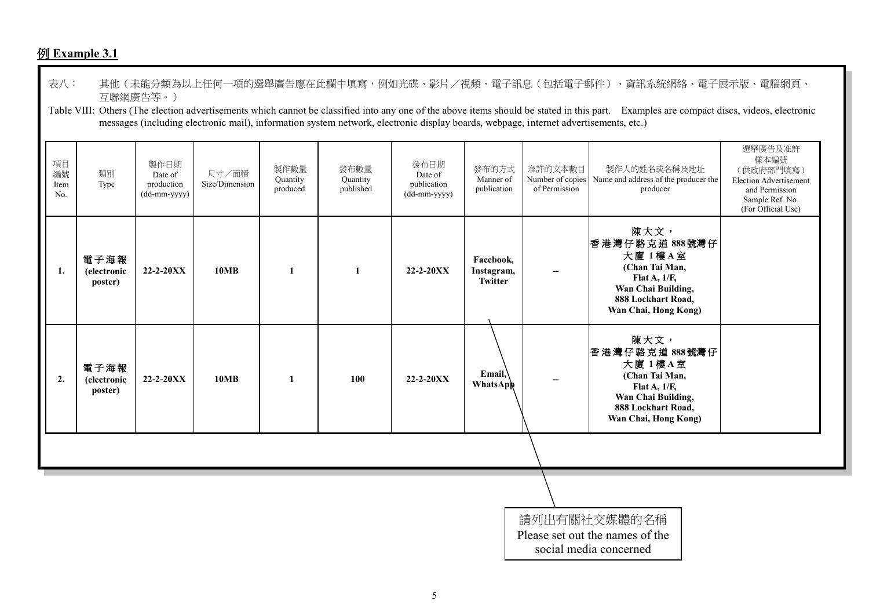# 例 **Example 3.1**

| 表八:                     |                                                 | 互聯網廣告等。)                                      |                         |                              |                               | messages (including electronic mail), information system network, electronic display boards, webpage, internet advertisements, etc.) |                                    |                          | 其他(未能分類為以上任何一項的選舉廣告應在此欄中填寫,例如光碟、影片/視頻、電子訊息(包括電子郵件)、資訊系統網絡、電子展示版、電腦網頁、<br>Table VIII: Others (The election advertisements which cannot be classified into any one of the above items should be stated in this part. Examples are compact discs, videos, electronic |                                                                                                                   |  |  |  |
|-------------------------|-------------------------------------------------|-----------------------------------------------|-------------------------|------------------------------|-------------------------------|--------------------------------------------------------------------------------------------------------------------------------------|------------------------------------|--------------------------|-------------------------------------------------------------------------------------------------------------------------------------------------------------------------------------------------------------------------------------------------------------------|-------------------------------------------------------------------------------------------------------------------|--|--|--|
| 項目<br>編號<br>Item<br>No. | 類別<br>Type                                      | 製作日期<br>Date of<br>production<br>(dd-mm-yyyy) | 尺寸/面積<br>Size/Dimension | 製作數量<br>Quantity<br>produced | 發布數量<br>Quantity<br>published | 發布日期<br>Date of<br>publication<br>(dd-mm-yyyy)                                                                                       | 發布的方式<br>Manner of<br>publication  | 准許的文本數目<br>of Permission | 製作人的姓名或名稱及地址<br>Number of copies   Name and address of the producer the<br>producer                                                                                                                                                                               | 選舉廣告及准許<br>樣本編號<br>(供政府部門填寫)<br>Election Advertisement<br>and Permission<br>Sample Ref. No.<br>(For Official Use) |  |  |  |
| 1.                      | 電子海報<br>(electronic<br>poster)                  | 22-2-20XX                                     | 10MB                    | 1                            | 1                             | 22-2-20XX                                                                                                                            | Facebook,<br>Instagram,<br>Twitter |                          | 陳大文,<br>香港灣仔駱克道 888號灣仔<br>大廈 1樓A室<br>(Chan Tai Man,<br>Flat A, 1/F,<br>Wan Chai Building,<br>888 Lockhart Road,<br>Wan Chai, Hong Kong)                                                                                                                           |                                                                                                                   |  |  |  |
| 2.                      | 電子海報<br><i>(electronic</i><br>poster)           | 22-2-20XX                                     | 10MB                    | $\mathbf{1}$                 | 100                           | $22 - 2 - 20XX$                                                                                                                      | Email,<br>WhatsApp                 |                          | 陳大文,<br>香港灣仔駱克道 888號灣仔<br>大廈 1樓A室<br>(Chan Tai Man,<br>Flat A, 1/F,<br>Wan Chai Building,<br>888 Lockhart Road,<br>Wan Chai, Hong Kong)                                                                                                                           |                                                                                                                   |  |  |  |
|                         |                                                 |                                               |                         |                              |                               |                                                                                                                                      |                                    |                          |                                                                                                                                                                                                                                                                   |                                                                                                                   |  |  |  |
|                         | 請列出有關社交媒體的名稱<br>Please set out the names of the |                                               |                         |                              |                               |                                                                                                                                      |                                    |                          |                                                                                                                                                                                                                                                                   |                                                                                                                   |  |  |  |
|                         |                                                 |                                               |                         |                              |                               |                                                                                                                                      |                                    |                          | social media concerned                                                                                                                                                                                                                                            |                                                                                                                   |  |  |  |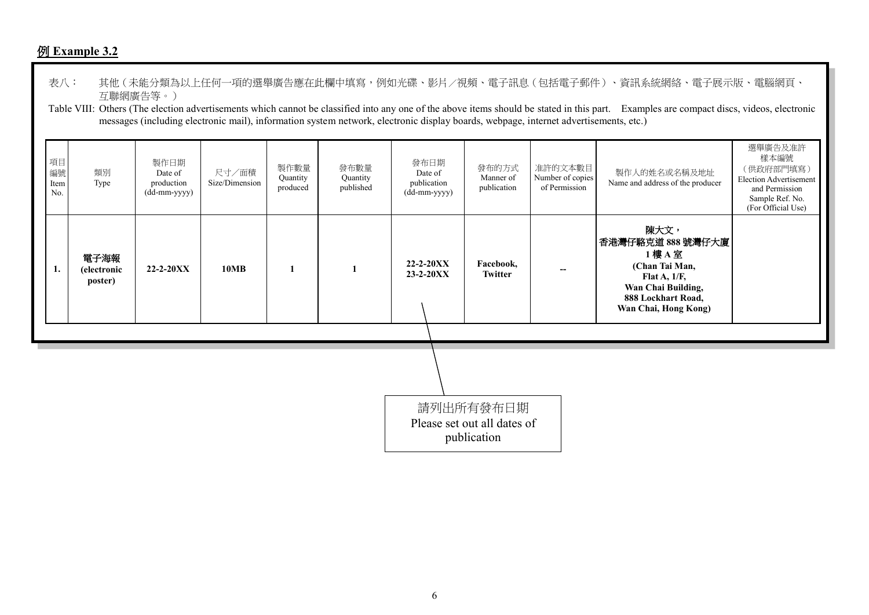## 例 **Example 3.2**

- 表八: 其他(未能分類為以上任何一項的選舉廣告應在此欄中填寫,例如光碟、影片/視頻、電子訊息(包括電子郵件)、資訊系統網絡、電子展示版、電腦網頁、 互聯網廣告等。)
- Table VIII: Others (The election advertisements which cannot be classified into any one of the above items should be stated in this part. Examples are compact discs, videos, electronic messages (including electronic mail), information system network, electronic display boards, webpage, internet advertisements, etc.)

| 項目<br>編號<br>Item<br>No. | 類別<br>Type                            | 製作日期<br>Date of<br>production<br>(dd-mm-yyyy) | 尺寸/面積<br>Size/Dimension | 製作數量<br>Quantity<br>produced | 發布數量<br>Quantity<br>published                           | 發布日期<br>Date of<br>publication<br>(dd-mm-yyyy) | 發布的方式<br>Manner of<br>publication | 准許的文本數目<br>Number of copies<br>of Permission | 製作人的姓名或名稱及地址<br>Name and address of the producer                                                                                            | 選舉廣告及准許<br>樣本編號<br>(供政府部門填寫)<br><b>Election Advertisement</b><br>and Permission<br>Sample Ref. No.<br>(For Official Use) |
|-------------------------|---------------------------------------|-----------------------------------------------|-------------------------|------------------------------|---------------------------------------------------------|------------------------------------------------|-----------------------------------|----------------------------------------------|---------------------------------------------------------------------------------------------------------------------------------------------|--------------------------------------------------------------------------------------------------------------------------|
| 1.                      | 電子海報<br><i>(electronic</i><br>poster) | $22 - 2 - 20XX$                               | <b>10MB</b>             |                              |                                                         | $22 - 2 - 20XX$<br>23-2-20XX                   | Facebook,<br><b>Twitter</b>       |                                              | 陳大文,<br>香港灣仔駱克道 888號灣仔大廈<br>1樓 A 室<br>(Chan Tai Man,<br>Flat A, $1/F$ ,<br>Wan Chai Building,<br>888 Lockhart Road,<br>Wan Chai, Hong Kong) |                                                                                                                          |
|                         |                                       |                                               |                         |                              |                                                         |                                                |                                   |                                              |                                                                                                                                             |                                                                                                                          |
|                         |                                       |                                               |                         |                              |                                                         |                                                |                                   |                                              |                                                                                                                                             |                                                                                                                          |
|                         |                                       |                                               |                         |                              | 請列出所有發布日期<br>Please set out all dates of<br>publication |                                                |                                   |                                              |                                                                                                                                             |                                                                                                                          |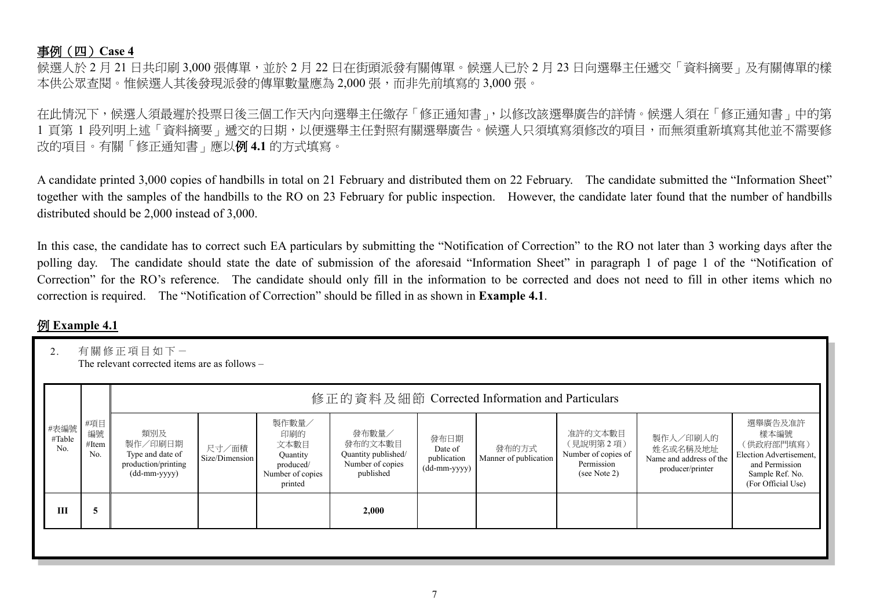#### 事例(四)**Case 4**

候選人於 2 月 21 日共印刷 3,000 張傳單,並於 2 月 22 日在街頭派發有關傳單。候選人已於 2 月 23 日向選舉主任遞交「資料摘要」及有關傳單的樣 本供公眾查閱。惟候選人其後發現派發的傳單數量應為 2,000 張, 而非先前填寫的 3,000 張。

在此情況下,候選人須最遲於投票日後三個工作天內向選舉主任繳存「修正通知書」,以修改該選舉廣告的詳情。候選人須在「修正通知書」中的第 1 頁第 1 段列明上述「資料摘要」遞交的日期,以便選舉主任對照有關選舉廣告。候選人只須填寫須修改的項目,而無須重新填寫其他並不需要修 改的項目。有關「修正通知書」應以例 **4.1** 的方式填寫。

A candidate printed 3,000 copies of handbills in total on 21 February and distributed them on 22 February. The candidate submitted the "Information Sheet" together with the samples of the handbills to the RO on 23 February for public inspection. However, the candidate later found that the number of handbills distributed should be 2,000 instead of 3,000.

In this case, the candidate has to correct such EA particulars by submitting the "Notification of Correction" to the RO not later than 3 working days after the polling day. The candidate should state the date of submission of the aforesaid "Information Sheet" in paragraph 1 of page 1 of the "Notification of Correction" for the RO's reference. The candidate should only fill in the information to be corrected and does not need to fill in other items which no correction is required. The "Notification of Correction" should be filled in as shown in **Example 4.1**.

## 例 **Example 4.1**

| 2.                    | 有關修正項目如下一<br>The relevant corrected items are as follows – |                                                                                                                 |                         |                                                                              |                                                                          |                                                |                                |                                                                          |                                                                     |                                                                                                                    |  |  |  |  |
|-----------------------|------------------------------------------------------------|-----------------------------------------------------------------------------------------------------------------|-------------------------|------------------------------------------------------------------------------|--------------------------------------------------------------------------|------------------------------------------------|--------------------------------|--------------------------------------------------------------------------|---------------------------------------------------------------------|--------------------------------------------------------------------------------------------------------------------|--|--|--|--|
|                       |                                                            |                                                                                                                 |                         |                                                                              | 修正的資料及細節 Corrected Information and Particulars                           |                                                |                                |                                                                          |                                                                     |                                                                                                                    |  |  |  |  |
| #表編號<br>#Table<br>No. | #項目<br>編號<br>#Item<br>No.                                  | 類別及<br>製作/印刷日期<br>Type and date of<br>production/printing<br>$(dd{\text{-}\!\!\,\text{mm-}}\text{\small{yyyy}}$ | 尺寸/面積<br>Size/Dimension | 製作數量/<br>印刷的<br>文本數目<br>Quantity<br>produced/<br>Number of copies<br>printed | 發布數量/<br>發布的文本數目<br>Quantity published/<br>Number of copies<br>published | 發布日期<br>Date of<br>publication<br>(dd-mm-yyyy) | 發布的方式<br>Manner of publication | 准許的文本數目<br>(見說明第2項)<br>Number of copies of<br>Permission<br>(see Note 2) | 製作人/印刷人的<br>姓名或名稱及地址<br>Name and address of the<br>producer/printer | 選舉廣告及准許<br>樣本編號<br>(供政府部門填寫)<br>Election Advertisement,<br>and Permission<br>Sample Ref. No.<br>(For Official Use) |  |  |  |  |
| III                   | 5                                                          |                                                                                                                 |                         |                                                                              | 2,000                                                                    |                                                |                                |                                                                          |                                                                     |                                                                                                                    |  |  |  |  |
|                       |                                                            |                                                                                                                 |                         |                                                                              |                                                                          |                                                |                                |                                                                          |                                                                     |                                                                                                                    |  |  |  |  |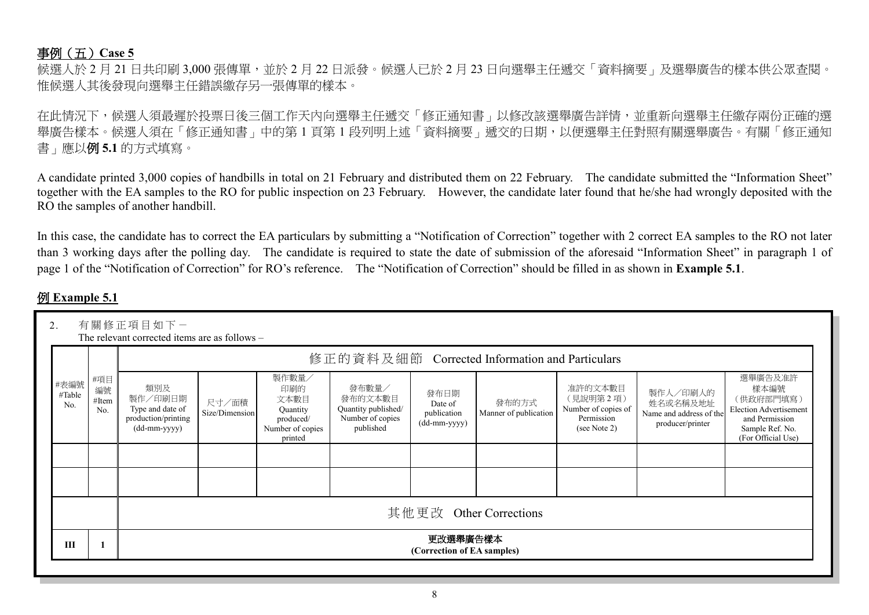#### 事例(五)**Case 5**

候選人於 2 月 21 日共印刷 3,000 張傳單,並於 2 月 22 日派發。候選人已於 2 月 23 日向選舉主任褫交「資料摘要」及選舉廣告的樣本供公眾查閱。 惟候選人其後發現向選舉主任錯誤繳存另一張傳單的樣本。

在此情況下,候選人須最遲於投票日後三個工作天內向選舉主任遞交「修正通知書」以修改該選舉廣告詳情,並重新向選舉主任繳存兩份正確的選 舉廣告樣本。候選人須在「修正通知書」中的第 1 頁第 1 段列明上述「資料摘要」遞交的日期,以便選舉主任對照有關選舉廣告。有關「修正通知 書」應以例 **5.1** 的方式填寫。

A candidate printed 3,000 copies of handbills in total on 21 February and distributed them on 22 February. The candidate submitted the "Information Sheet" together with the EA samples to the RO for public inspection on 23 February. However, the candidate later found that he/she had wrongly deposited with the RO the samples of another handbill.

In this case, the candidate has to correct the EA particulars by submitting a "Notification of Correction" together with 2 correct EA samples to the RO not later than 3 working days after the polling day. The candidate is required to state the date of submission of the aforesaid "Information Sheet" in paragraph 1 of page 1 of the "Notification of Correction" for RO's reference. The "Notification of Correction" should be filled in as shown in **Example 5.1**.

## 例 **Example 5.1**

| 2.                    |                           | 有關修正項目如下一<br>The relevant corrected items are as follows -                |                                                |                                                                              |                                                                          |                                                |                                |                                                                          |                                                                     |                                                                                                                          |  |  |  |  |  |
|-----------------------|---------------------------|---------------------------------------------------------------------------|------------------------------------------------|------------------------------------------------------------------------------|--------------------------------------------------------------------------|------------------------------------------------|--------------------------------|--------------------------------------------------------------------------|---------------------------------------------------------------------|--------------------------------------------------------------------------------------------------------------------------|--|--|--|--|--|
|                       |                           |                                                                           | 修正的資料及細節 Corrected Information and Particulars |                                                                              |                                                                          |                                                |                                |                                                                          |                                                                     |                                                                                                                          |  |  |  |  |  |
| #表編號<br>#Table<br>No. | #項目<br>編號<br>#Item<br>No. | 類別及<br>製作/印刷日期<br>Type and date of<br>production/printing<br>(dd-mm-yyyy) | 尺寸/面積<br>Size/Dimension                        | 製作數量/<br>印刷的<br>文本數目<br>Quantity<br>produced/<br>Number of copies<br>printed | 發布數量/<br>發布的文本數目<br>Quantity published/<br>Number of copies<br>published | 發布日期<br>Date of<br>publication<br>(dd-mm-yyyy) | 發布的方式<br>Manner of publication | 准許的文本數目<br>(見說明第2項)<br>Number of copies of<br>Permission<br>(see Note 2) | 製作人/印刷人的<br>姓名或名稱及地址<br>Name and address of the<br>producer/printer | 選舉廣告及准許<br>樣本編號<br>(供政府部門填寫)<br><b>Election Advertisement</b><br>and Permission<br>Sample Ref. No.<br>(For Official Use) |  |  |  |  |  |
|                       |                           |                                                                           |                                                |                                                                              |                                                                          |                                                |                                |                                                                          |                                                                     |                                                                                                                          |  |  |  |  |  |
|                       |                           |                                                                           |                                                |                                                                              |                                                                          |                                                |                                |                                                                          |                                                                     |                                                                                                                          |  |  |  |  |  |
|                       |                           | 其他更改 Other Corrections                                                    |                                                |                                                                              |                                                                          |                                                |                                |                                                                          |                                                                     |                                                                                                                          |  |  |  |  |  |
| Ш                     |                           | 更改選舉廣告樣本<br>(Correction of EA samples)                                    |                                                |                                                                              |                                                                          |                                                |                                |                                                                          |                                                                     |                                                                                                                          |  |  |  |  |  |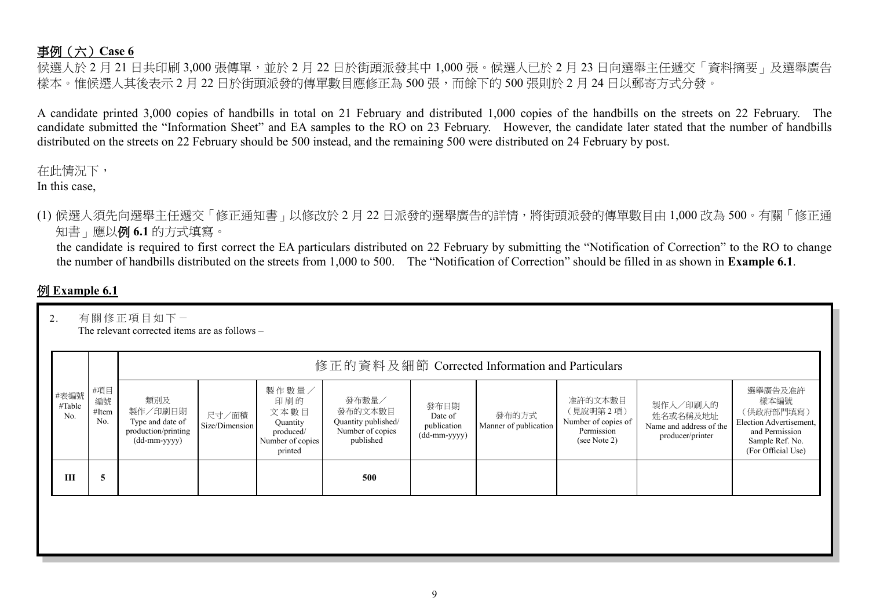## 事例(六)**Case 6**

候選人於 2 月 21 日共印刷 3,000 張傳單,並於 2 月 22 日於街頭派發其中 1,000 張。候選人已於 2 月 23 日向選舉主任遞交「資料摘要」及選舉廣告 樣本。惟候選人其後表示 2 月 22 日於街頭派發的傳單數目應修正為 500 張,而餘下的 500 張則於 2 月 24 日以郵寄方式分發。

A candidate printed 3,000 copies of handbills in total on 21 February and distributed 1,000 copies of the handbills on the streets on 22 February. The candidate submitted the "Information Sheet" and EA samples to the RO on 23 February. However, the candidate later stated that the number of handbills distributed on the streets on 22 February should be 500 instead, and the remaining 500 were distributed on 24 February by post.

在此情況下,

In this case,

(1) 候選人須先向選舉主任遞交「修正通知書」以修改於 2 月 22 日派發的選舉廣告的詳情,將街頭派發的傳單數目由 1,000 改為 500。有關「修正通 知書」應以例 **6.1** 的方式填寫。

the candidate is required to first correct the EA particulars distributed on 22 February by submitting the "Notification of Correction" to the RO to change the number of handbills distributed on the streets from 1,000 to 500. The "Notification of Correction" should be filled in as shown in **Example 6.1**.

## 例 **Example 6.1**

| 2.                    | 有關修正項目如下一<br>The relevant corrected items are as follows -<br>修正的資料及細節 Corrected Information and Particulars |                                                                           |                         |                                                                              |                                                                          |                                                  |                                |                                                                          |                                                                     |                                                                                                                    |  |  |  |  |
|-----------------------|--------------------------------------------------------------------------------------------------------------|---------------------------------------------------------------------------|-------------------------|------------------------------------------------------------------------------|--------------------------------------------------------------------------|--------------------------------------------------|--------------------------------|--------------------------------------------------------------------------|---------------------------------------------------------------------|--------------------------------------------------------------------------------------------------------------------|--|--|--|--|
| #表編號<br>#Table<br>No. | #項目<br>編號<br>#Item<br>No.                                                                                    | 類別及<br>製作/印刷日期<br>Type and date of<br>production/printing<br>(dd-mm-yyyy) | 尺寸/面積<br>Size/Dimension | 製作數量/<br>印刷的<br>文本數目<br>Quantity<br>produced/<br>Number of copies<br>printed | 發布數量/<br>發布的文本數目<br>Quantity published/<br>Number of copies<br>published | 發布日期<br>Date of<br>publication<br>$(dd-mm-yyyy)$ | 發布的方式<br>Manner of publication | 准許的文本數目<br>(見說明第2項)<br>Number of copies of<br>Permission<br>(see Note 2) | 製作人/印刷人的<br>姓名或名稱及地址<br>Name and address of the<br>producer/printer | 選舉廣告及准許<br>樣本編號<br>(供政府部門填寫)<br>Election Advertisement,<br>and Permission<br>Sample Ref. No.<br>(For Official Use) |  |  |  |  |
| Ш                     | 5                                                                                                            |                                                                           |                         |                                                                              | 500                                                                      |                                                  |                                |                                                                          |                                                                     |                                                                                                                    |  |  |  |  |
|                       |                                                                                                              |                                                                           |                         |                                                                              |                                                                          |                                                  |                                |                                                                          |                                                                     |                                                                                                                    |  |  |  |  |
|                       |                                                                                                              |                                                                           |                         |                                                                              |                                                                          |                                                  |                                |                                                                          |                                                                     |                                                                                                                    |  |  |  |  |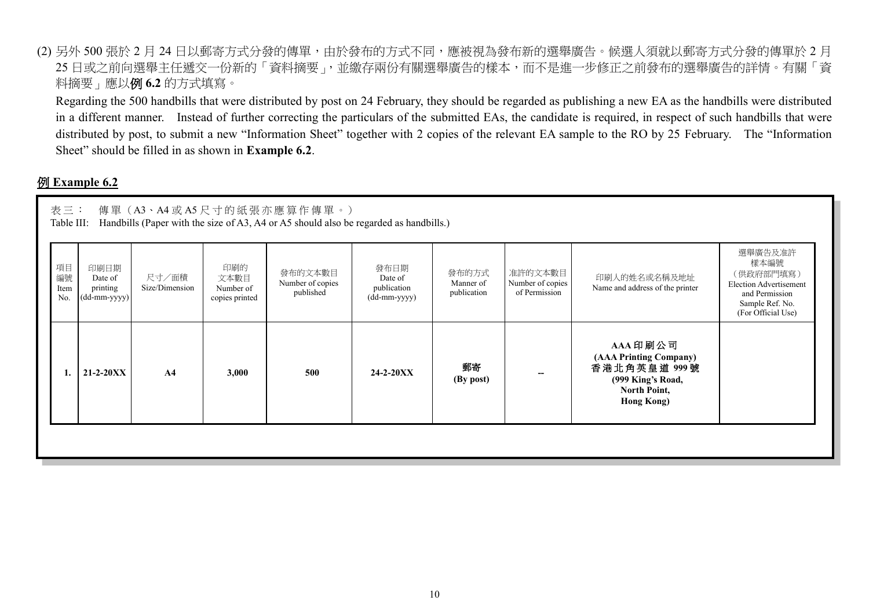(2) 另外 500 張於 2 月 24 日以郵寄方式分發的傳單,由於發布的方式不同,應被視為發布新的選舉廣告。候選人須就以郵寄方式分發的傳單於 2 月 25 日或之前向選舉主任遞交一份新的「資料摘要」,並繳存兩份有關選舉廣告的樣本,而不是進一步修正之前發布的選舉廣告的詳情。有關「資 料摘要」應以例 **6.2** 的方式填寫。

Regarding the 500 handbills that were distributed by post on 24 February, they should be regarded as publishing a new EA as the handbills were distributed in a different manner. Instead of further correcting the particulars of the submitted EAs, the candidate is required, in respect of such handbills that were distributed by post, to submit a new "Information Sheet" together with 2 copies of the relevant EA sample to the RO by 25 February. The "Information Sheet" should be filled in as shown in **Example 6.2**.

#### 例 **Example 6.2**

|                         | 表三:<br>傳單 (A3、A4或A5尺寸的紙張亦應算作傳單。)<br>Handbills (Paper with the size of A3, A4 or A5 should also be regarded as handbills.)<br>Table III: |                         |                                            |                                          |                                                |                                   |                                              |                                                                                                              |                                                                                                                          |  |  |  |  |
|-------------------------|-----------------------------------------------------------------------------------------------------------------------------------------|-------------------------|--------------------------------------------|------------------------------------------|------------------------------------------------|-----------------------------------|----------------------------------------------|--------------------------------------------------------------------------------------------------------------|--------------------------------------------------------------------------------------------------------------------------|--|--|--|--|
| 項目<br>編號<br>Item<br>No. | 印刷日期<br>Date of<br>printing<br>(dd-mm-yyyy)                                                                                             | 尺寸/面積<br>Size/Dimension | 印刷的<br>文本數目<br>Number of<br>copies printed | 發布的文本數目<br>Number of copies<br>published | 發布日期<br>Date of<br>publication<br>(dd-mm-yyyy) | 發布的方式<br>Manner of<br>publication | 准許的文本數目<br>Number of copies<br>of Permission | 印刷人的姓名或名稱及地址<br>Name and address of the printer                                                              | 選舉廣告及准許<br>樣本編號<br>(供政府部門填寫)<br><b>Election Advertisement</b><br>and Permission<br>Sample Ref. No.<br>(For Official Use) |  |  |  |  |
|                         | $21 - 2 - 20XX$                                                                                                                         | A <sub>4</sub>          | 3,000                                      | 500                                      | $24 - 2 - 20XX$                                | 郵寄<br>(By post)                   |                                              | AAA 印刷公司<br>(AAA Printing Company)<br>香港北角英皇道 999號<br>(999 King's Road,<br>North Point,<br><b>Hong Kong)</b> |                                                                                                                          |  |  |  |  |
|                         |                                                                                                                                         |                         |                                            |                                          |                                                |                                   |                                              |                                                                                                              |                                                                                                                          |  |  |  |  |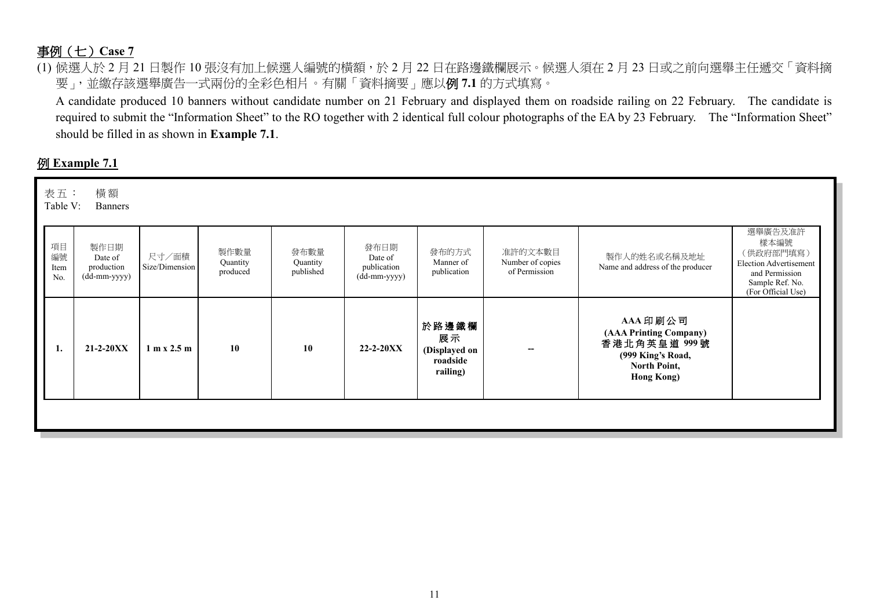## 事例(七)**Case 7**

(1) 候選人於 2 月 21 日製作 10 張沒有加上候選人編號的橫額,於 2 月 22 日在路邊鐵欄展示。候選人須在 2 月 23 日或之前向選舉主任遞交「資料摘 要」,並繳存該選舉廣告一式兩份的全彩色相片。有關「資料摘要」應以例 **7.1** 的方式填寫。

A candidate produced 10 banners without candidate number on 21 February and displayed them on roadside railing on 22 February. The candidate is required to submit the "Information Sheet" to the RO together with 2 identical full colour photographs of the EA by 23 February. The "Information Sheet" should be filled in as shown in **Example 7.1**.

## 例 **Example 7.1**

| 表五:<br>Table V:         | 横額<br><b>Banners</b>                          |                               |                              |                               |                                                |                                                      |                                              |                                                                                                              |                                                                                                                          |
|-------------------------|-----------------------------------------------|-------------------------------|------------------------------|-------------------------------|------------------------------------------------|------------------------------------------------------|----------------------------------------------|--------------------------------------------------------------------------------------------------------------|--------------------------------------------------------------------------------------------------------------------------|
| 項目<br>編號<br>Item<br>No. | 製作日期<br>Date of<br>production<br>(dd-mm-yyyy) | 尺寸/面積<br>Size/Dimension       | 製作數量<br>Quantity<br>produced | 發布數量<br>Quantity<br>published | 發布日期<br>Date of<br>publication<br>(dd-mm-yyyy) | 發布的方式<br>Manner of<br>publication                    | 准許的文本數目<br>Number of copies<br>of Permission | 製作人的姓名或名稱及地址<br>Name and address of the producer                                                             | 選舉廣告及准許<br>樣本編號<br>(供政府部門填寫)<br><b>Election Advertisement</b><br>and Permission<br>Sample Ref. No.<br>(For Official Use) |
| 1.                      | $21 - 2 - 20XX$                               | $1 \text{ m} x 2.5 \text{ m}$ | 10                           | 10                            | $22 - 2 - 20XX$                                | 於路邊鐵欄<br>展示<br>(Displayed on<br>roadside<br>railing) | $-$                                          | AAA 印刷公司<br>(AAA Printing Company)<br>香港北角英皇道 999號<br>(999 King's Road,<br>North Point,<br><b>Hong Kong)</b> |                                                                                                                          |
|                         |                                               |                               |                              |                               |                                                |                                                      |                                              |                                                                                                              |                                                                                                                          |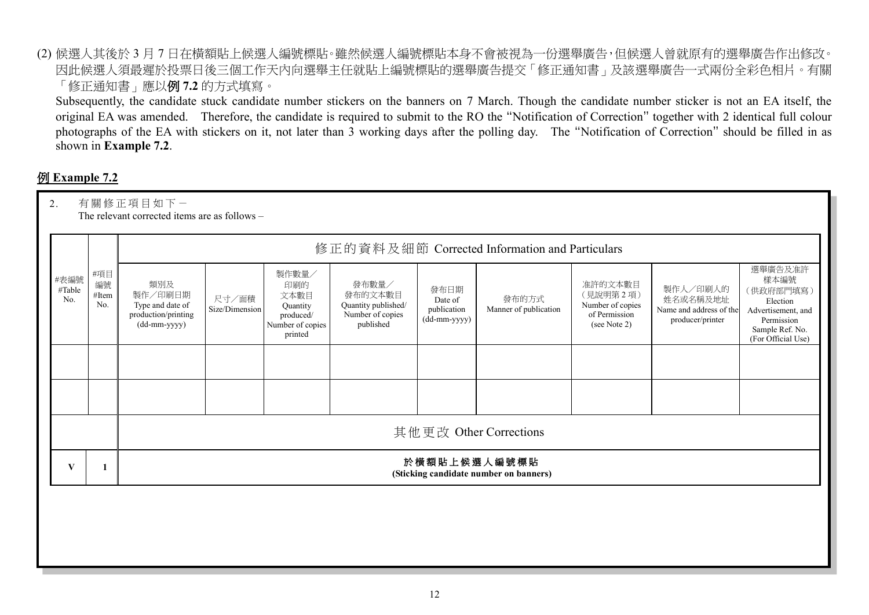(2) 候選人其後於 3 月 7 日在橫額貼上候選人編號標貼。雖然候選人編號標貼本身不會被視為一份選舉廣告,但候選人曾就原有的選舉廣告作出修改。 因此候選人須最遲於投票日後三個工作天內向選舉主任就貼上編號標貼的選舉廣告提交「修正通知書」及該選舉廣告一式兩份全彩色相片。有關 「修正通知書」應以例 **7.2** 的方式填寫。

Subsequently, the candidate stuck candidate number stickers on the banners on 7 March. Though the candidate number sticker is not an EA itself, the original EA was amended. Therefore, the candidate is required to submit to the RO the "Notification of Correction" together with 2 identical full colour photographs of the EA with stickers on it, not later than 3 working days after the polling day. The "Notification of Correction" should be filled in as shown in **Example 7.2**.

## 例 **Example 7.2**

| 2.                    | 有關修正項目如下一<br>The relevant corrected items are as follows - |                                                                           |                         |                                                                              |                                                                          |                                                |                                |                                                                          |                                                                     |                                                                                                                       |  |  |  |  |
|-----------------------|------------------------------------------------------------|---------------------------------------------------------------------------|-------------------------|------------------------------------------------------------------------------|--------------------------------------------------------------------------|------------------------------------------------|--------------------------------|--------------------------------------------------------------------------|---------------------------------------------------------------------|-----------------------------------------------------------------------------------------------------------------------|--|--|--|--|
|                       |                                                            | 修正的資料及細節 Corrected Information and Particulars                            |                         |                                                                              |                                                                          |                                                |                                |                                                                          |                                                                     |                                                                                                                       |  |  |  |  |
| #表編號<br>#Table<br>No. | #項目<br>編號<br>#Item<br>No.                                  | 類別及<br>製作/印刷日期<br>Type and date of<br>production/printing<br>(dd-mm-yyyy) | 尺寸/面積<br>Size/Dimension | 製作數量/<br>印刷的<br>文本數目<br>Quantity<br>produced/<br>Number of copies<br>printed | 發布數量/<br>發布的文本數目<br>Quantity published/<br>Number of copies<br>published | 發布日期<br>Date of<br>publication<br>(dd-mm-yyyy) | 發布的方式<br>Manner of publication | 准許的文本數目<br>(見說明第2項)<br>Number of copies<br>of Permission<br>(see Note 2) | 製作人/印刷人的<br>姓名或名稱及地址<br>Name and address of the<br>producer/printer | 選舉廣告及准許<br>樣本編號<br>(供政府部門填寫)<br>Election<br>Advertisement, and<br>Permission<br>Sample Ref. No.<br>(For Official Use) |  |  |  |  |
|                       |                                                            |                                                                           |                         |                                                                              |                                                                          |                                                |                                |                                                                          |                                                                     |                                                                                                                       |  |  |  |  |
|                       |                                                            |                                                                           |                         |                                                                              |                                                                          |                                                |                                |                                                                          |                                                                     |                                                                                                                       |  |  |  |  |
|                       |                                                            | 其他更改 Other Corrections                                                    |                         |                                                                              |                                                                          |                                                |                                |                                                                          |                                                                     |                                                                                                                       |  |  |  |  |
| V                     |                                                            | 於横額貼上候選人編號標貼<br>(Sticking candidate number on banners)                    |                         |                                                                              |                                                                          |                                                |                                |                                                                          |                                                                     |                                                                                                                       |  |  |  |  |
|                       |                                                            |                                                                           |                         |                                                                              |                                                                          |                                                |                                |                                                                          |                                                                     |                                                                                                                       |  |  |  |  |
|                       |                                                            |                                                                           |                         |                                                                              |                                                                          |                                                |                                |                                                                          |                                                                     |                                                                                                                       |  |  |  |  |